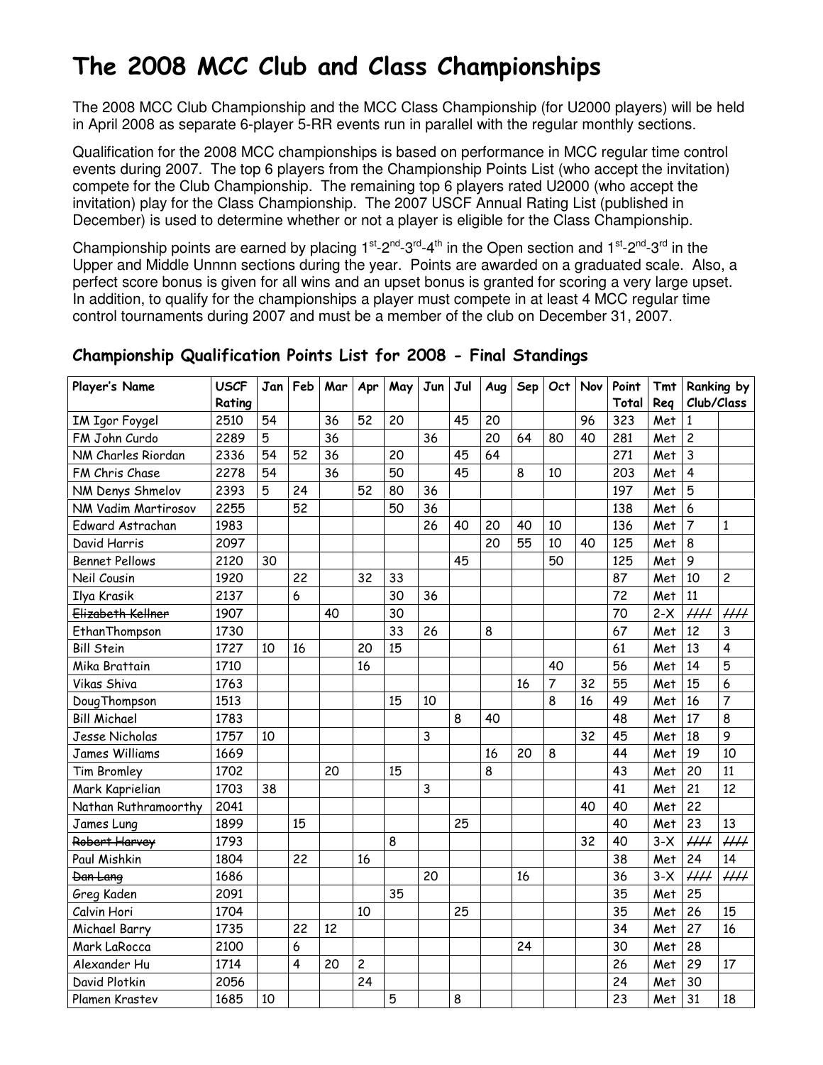# The 2008 MCC Club and Class Championships

The 2008 MCC Club Championship and the MCC Class Championship (for U2000 players) will be held in April 2008 as separate 6-player 5-RR events run in parallel with the regular monthly sections.

Qualification for the 2008 MCC championships is based on performance in MCC regular time control events during 2007. The top 6 players from the Championship Points List (who accept the invitation) compete for the Club Championship. The remaining top 6 players rated U2000 (who accept the invitation) play for the Class Championship. The 2007 USCF Annual Rating List (published in December) is used to determine whether or not a player is eligible for the Class Championship.

Championship points are earned by placing  $1^{st}$ -2<sup>nd</sup>-3<sup>rd</sup>-4<sup>th</sup> in the Open section and  $1^{st}$ -2<sup>nd</sup>-3<sup>rd</sup> in the Upper and Middle Unnnn sections during the year. Points are awarded on a graduated scale. Also, a perfect score bonus is given for all wins and an upset bonus is granted for scoring a very large upset. In addition, to qualify for the championships a player must compete in at least 4 MCC regular time control tournaments during 2007 and must be a member of the club on December 31, 2007.

| Player's Name         | <b>USCF</b> | Jan | Feb            | Mar | Apr            | May | Jun | Jul | Aug | Sep | Oct | Nov | Point | <b>Tmt</b> | Ranking by     |                 |
|-----------------------|-------------|-----|----------------|-----|----------------|-----|-----|-----|-----|-----|-----|-----|-------|------------|----------------|-----------------|
|                       | Rating      |     |                |     |                |     |     |     |     |     |     |     | Total | Reg        | Club/Class     |                 |
| <b>IM Igor Foygel</b> | 2510        | 54  |                | 36  | 52             | 20  |     | 45  | 20  |     |     | 96  | 323   | Met        | 1              |                 |
| FM John Curdo         | 2289        | 5   |                | 36  |                |     | 36  |     | 20  | 64  | 80  | 40  | 281   | Met        | $\overline{c}$ |                 |
| NM Charles Riordan    | 2336        | 54  | 52             | 36  |                | 20  |     | 45  | 64  |     |     |     | 271   | Met        | $\overline{3}$ |                 |
| FM Chris Chase        | 2278        | 54  |                | 36  |                | 50  |     | 45  |     | 8   | 10  |     | 203   | Met        | $\overline{4}$ |                 |
| NM Denys Shmelov      | 2393        | 5   | 24             |     | 52             | 80  | 36  |     |     |     |     |     | 197   | Met        | 5              |                 |
| NM Vadim Martirosov   | 2255        |     | 52             |     |                | 50  | 36  |     |     |     |     |     | 138   | Met        | 6              |                 |
| Edward Astrachan      | 1983        |     |                |     |                |     | 26  | 40  | 20  | 40  | 10  |     | 136   | Met        | $\overline{7}$ | $\mathbf{1}$    |
| David Harris          | 2097        |     |                |     |                |     |     |     | 20  | 55  | 10  | 40  | 125   | Met        | 8              |                 |
| <b>Bennet Pellows</b> | 2120        | 30  |                |     |                |     |     | 45  |     |     | 50  |     | 125   | Met        | 9              |                 |
| Neil Cousin           | 1920        |     | 22             |     | 32             | 33  |     |     |     |     |     |     | 87    | Met        | 10             | $\overline{c}$  |
| Ilya Krasik           | 2137        |     | 6              |     |                | 30  | 36  |     |     |     |     |     | 72    | Met        | 11             |                 |
| Elizabeth Kellner     | 1907        |     |                | 40  |                | 30  |     |     |     |     |     |     | 70    | $2-X$      | $\mu\mu$       | $\mu\mu$        |
| EthanThompson         | 1730        |     |                |     |                | 33  | 26  |     | 8   |     |     |     | 67    | Met        | 12             | 3               |
| <b>Bill Stein</b>     | 1727        | 10  | 16             |     | 20             | 15  |     |     |     |     |     |     | 61    | Met        | 13             | 4               |
| Mika Brattain         | 1710        |     |                |     | 16             |     |     |     |     |     | 40  |     | 56    | Met        | 14             | 5               |
| Vikas Shiva           | 1763        |     |                |     |                |     |     |     |     | 16  | 7   | 32  | 55    | Met        | 15             | 6               |
| Doug Thompson         | 1513        |     |                |     |                | 15  | 10  |     |     |     | 8   | 16  | 49    | Met        | 16             | $\overline{7}$  |
| <b>Bill Michael</b>   | 1783        |     |                |     |                |     |     | 8   | 40  |     |     |     | 48    | Met        | 17             | 8               |
| Jesse Nicholas        | 1757        | 10  |                |     |                |     | 3   |     |     |     |     | 32  | 45    | Met        | 18             | 9               |
| <b>James Williams</b> | 1669        |     |                |     |                |     |     |     | 16  | 20  | 8   |     | 44    | Met        | 19             | 10              |
| <b>Tim Bromley</b>    | 1702        |     |                | 20  |                | 15  |     |     | 8   |     |     |     | 43    | Met        | 20             | 11              |
| Mark Kaprielian       | 1703        | 38  |                |     |                |     | 3   |     |     |     |     |     | 41    | Met        | 21             | 12              |
| Nathan Ruthramoorthy  | 2041        |     |                |     |                |     |     |     |     |     |     | 40  | 40    | Met        | 22             |                 |
| James Lung            | 1899        |     | 15             |     |                |     |     | 25  |     |     |     |     | 40    | Met        | 23             | 13              |
| Robert Harvey         | 1793        |     |                |     |                | 8   |     |     |     |     |     | 32  | 40    | $3-X$      | $\mu\mu$       | $\overline{HH}$ |
| Paul Mishkin          | 1804        |     | 22             |     | 16             |     |     |     |     |     |     |     | 38    | Met        | 24             | 14              |
| Dan Lang              | 1686        |     |                |     |                |     | 20  |     |     | 16  |     |     | 36    | $3-X$      | $\overline{H}$ | $\overline{HH}$ |
| Greg Kaden            | 2091        |     |                |     |                | 35  |     |     |     |     |     |     | 35    | Met        | 25             |                 |
| Calvin Hori           | 1704        |     |                |     | 10             |     |     | 25  |     |     |     |     | 35    | Met        | 26             | 15              |
| Michael Barry         | 1735        |     | 22             | 12  |                |     |     |     |     |     |     |     | 34    | Met        | 27             | 16              |
| Mark LaRocca          | 2100        |     | 6              |     |                |     |     |     |     | 24  |     |     | 30    | Met        | 28             |                 |
| Alexander Hu          | 1714        |     | $\overline{4}$ | 20  | $\overline{c}$ |     |     |     |     |     |     |     | 26    | Met        | 29             | 17              |
| David Plotkin         | 2056        |     |                |     | 24             |     |     |     |     |     |     |     | 24    | Met        | 30             |                 |
| Plamen Krastev        | 1685        | 10  |                |     |                | 5   |     | 8   |     |     |     |     | 23    | Met        | 31             | 18              |

### Championship Qualification Points List for 2008 - Final Standings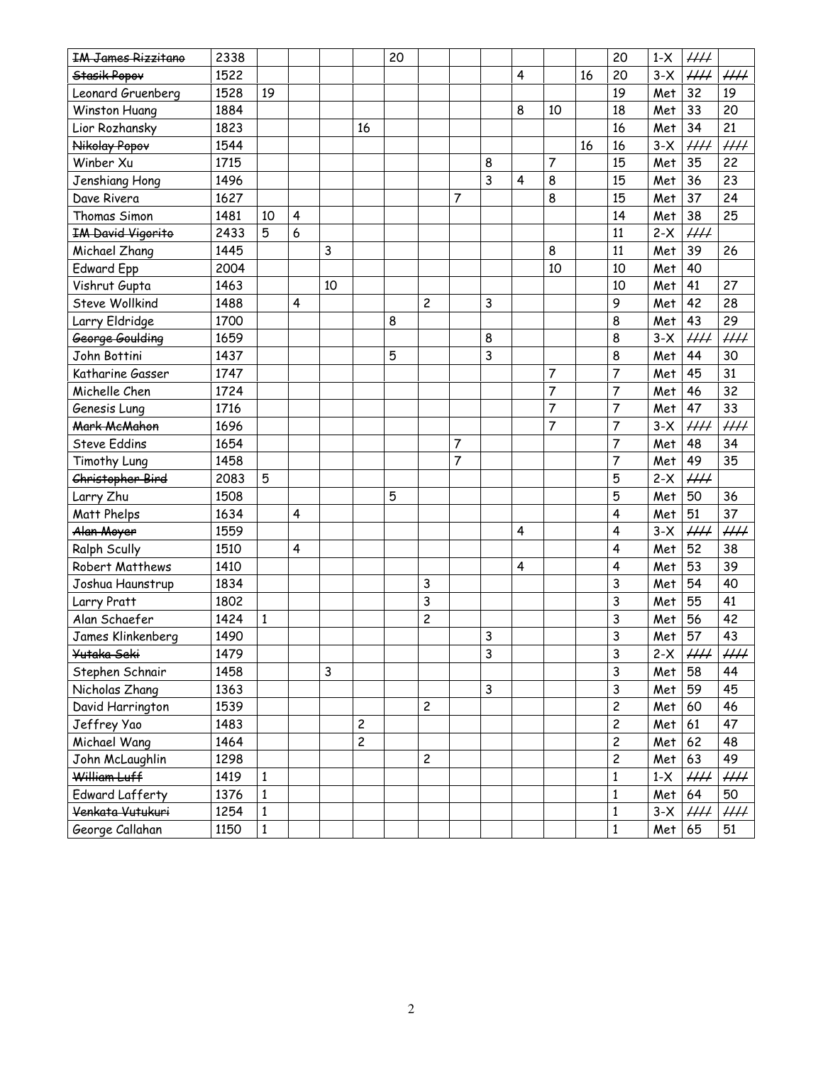| <b>IM James Rizzitano</b>   | 2338 |              |                         |    |                         | 20 |                         |                |   |                         |                |    | 20                      | $1-X$    | $\mathcal{H}\mathcal{H}$  |                 |
|-----------------------------|------|--------------|-------------------------|----|-------------------------|----|-------------------------|----------------|---|-------------------------|----------------|----|-------------------------|----------|---------------------------|-----------------|
| Stasik Popov                | 1522 |              |                         |    |                         |    |                         |                |   | $\overline{\mathbf{4}}$ |                | 16 | 20                      | $3-X$    | $\mu\mu$                  | $\mu\mu$        |
| Leonard Gruenberg           | 1528 | 19           |                         |    |                         |    |                         |                |   |                         |                |    | 19                      | Met      | 32                        | 19              |
| Winston Huang               | 1884 |              |                         |    |                         |    |                         |                |   | 8                       | 10             |    | 18                      | Met      | 33                        | 20              |
| Lior Rozhansky              | 1823 |              |                         |    | 16                      |    |                         |                |   |                         |                |    | 16                      | Met      | 34                        | 21              |
| Nikolay Popov               | 1544 |              |                         |    |                         |    |                         |                |   |                         |                | 16 | 16                      | $3-X$    | $\mu\mu$                  | $\mu\mu$        |
| Winber Xu                   | 1715 |              |                         |    |                         |    |                         |                | 8 |                         | $\overline{7}$ |    | 15                      | Met      | 35                        | 22              |
| Jenshiang Hong              | 1496 |              |                         |    |                         |    |                         |                | 3 | 4                       | 8              |    | 15                      | Met      | 36                        | 23              |
| Dave Rivera                 | 1627 |              |                         |    |                         |    |                         | 7              |   |                         | 8              |    | 15                      | Met      | 37                        | 24              |
| Thomas Simon                | 1481 | 10           | $\overline{\mathbf{4}}$ |    |                         |    |                         |                |   |                         |                |    | 14                      | Met      | 38                        | 25              |
| <b>IM David Vigorito</b>    | 2433 | 5            | 6                       |    |                         |    |                         |                |   |                         |                |    | 11                      | $2-X$    | $\overline{H}$            |                 |
| Michael Zhang               | 1445 |              |                         | 3  |                         |    |                         |                |   |                         | 8              |    | 11                      | Met      | 39                        | 26              |
| <b>Edward Epp</b>           | 2004 |              |                         |    |                         |    |                         |                |   |                         | 10             |    | 10                      | Met      | 40                        |                 |
| Vishrut Gupta               | 1463 |              |                         | 10 |                         |    |                         |                |   |                         |                |    | 10                      | Met      | 41                        | 27              |
| <b>Steve Wollkind</b>       | 1488 |              | 4                       |    |                         |    | 2                       |                | 3 |                         |                |    | 9                       | Met      | 42                        | 28              |
| Larry Eldridge              | 1700 |              |                         |    |                         | 8  |                         |                |   |                         |                |    | 8                       | Met      | 43                        | 29              |
| George Goulding             | 1659 |              |                         |    |                         |    |                         |                | 8 |                         |                |    | 8                       | $3-X$    | $\mu\mu$                  | $\mu\mu$        |
| John Bottini                | 1437 |              |                         |    |                         | 5  |                         |                | 3 |                         |                |    | 8                       | Met      | 44                        | 30              |
| Katharine Gasser            | 1747 |              |                         |    |                         |    |                         |                |   |                         | 7              |    | 7                       | Met      | 45                        | 31              |
| Michelle Chen               | 1724 |              |                         |    |                         |    |                         |                |   |                         | $\overline{7}$ |    | $\overline{7}$          | Met      | 46                        | 32              |
| Genesis Lung                | 1716 |              |                         |    |                         |    |                         |                |   |                         | $\overline{7}$ |    | $\overline{7}$          | Met      | 47                        | 33              |
| Mark McMahon                | 1696 |              |                         |    |                         |    |                         |                |   |                         | $\overline{7}$ |    | $\overline{7}$          | $3-X$    | $\mathcal{H} \mathcal{H}$ | $\overline{HH}$ |
| <b>Steve Eddins</b>         | 1654 |              |                         |    |                         |    |                         | 7              |   |                         |                |    | 7                       | Met      | 48                        | 34              |
| Timothy Lung                | 1458 |              |                         |    |                         |    |                         | $\overline{7}$ |   |                         |                |    | 7                       | Met      | 49                        | 35              |
| Christopher Bird            | 2083 | 5            |                         |    |                         |    |                         |                |   |                         |                |    | 5                       | $2-X$    | $\overline{H}$            |                 |
| Larry Zhu                   | 1508 |              |                         |    |                         | 5  |                         |                |   |                         |                |    | 5                       | Met      | 50                        | 36              |
| Matt Phelps                 | 1634 |              | $\overline{\mathbf{4}}$ |    |                         |    |                         |                |   |                         |                |    | 4                       | Met      | 51                        | 37              |
| Alan Moyer                  | 1559 |              |                         |    |                         |    |                         |                |   | $\overline{4}$          |                |    | 4                       | $3-X$    | $\mu\mu$                  | $\mu\mu$        |
| <b>Ralph Scully</b>         | 1510 |              | $\overline{4}$          |    |                         |    |                         |                |   |                         |                |    | 4                       | Met      | 52                        | 38              |
| Robert Matthews             | 1410 |              |                         |    |                         |    |                         |                |   | 4                       |                |    | 4                       | Met      | 53                        | 39              |
| Joshua Haunstrup            | 1834 |              |                         |    |                         |    | 3                       |                |   |                         |                |    | 3                       | Met      | 54                        | 40              |
| Larry Pratt                 | 1802 |              |                         |    |                         |    | 3                       |                |   |                         |                |    | 3                       | Met      | 55                        | 41              |
| Alan Schaefer               | 1424 | $\mathbf{1}$ |                         |    |                         |    | $\overline{\mathbf{c}}$ |                |   |                         |                |    | 3                       | Met      | 56                        | 42              |
| James Klinkenberg           | 1490 |              |                         |    |                         |    |                         |                | 3 |                         |                |    | 3                       | Met      | 57                        | 43              |
| <del>Yutaka Seki</del>      | 1479 |              |                         |    |                         |    |                         |                | 3 |                         |                |    | 3                       | $2-X$    | $\mathcal{H} \mathcal{H}$ | HH              |
| Stephen Schnair             | 1458 |              |                         | 3  |                         |    |                         |                |   |                         |                |    | 3                       | Met      | 58                        | 44              |
| Nicholas Zhang              | 1363 |              |                         |    |                         |    |                         |                | 3 |                         |                |    | 3                       | Met      | 59                        | 45              |
| David Harrington            | 1539 |              |                         |    |                         |    | $\overline{c}$          |                |   |                         |                |    | $\overline{c}$          | Met      | 60                        | 46              |
| Jeffrey Yao                 | 1483 |              |                         |    | $\overline{c}$          |    |                         |                |   |                         |                |    | $\overline{c}$          | Met 61   |                           | 47              |
| Michael Wang                | 1464 |              |                         |    | $\overline{\mathbf{c}}$ |    |                         |                |   |                         |                |    | $\overline{\mathbf{c}}$ | Met      | 62                        | 48              |
| John McLaughlin             | 1298 |              |                         |    |                         |    | $\overline{c}$          |                |   |                         |                |    | $\overline{c}$          | Met      | 63                        | 49              |
| William Luff                | 1419 | $\mathbf{1}$ |                         |    |                         |    |                         |                |   |                         |                |    | 1                       | $1-X$    | $\mu\mu$                  | $\mu\mu$        |
| <b>Edward Lafferty</b>      | 1376 | $\mathbf{1}$ |                         |    |                         |    |                         |                |   |                         |                |    | 1                       | Met      | 64                        | 50              |
| <del>Venkata Vutukuri</del> | 1254 | $\mathbf{1}$ |                         |    |                         |    |                         |                |   |                         |                |    | $\mathbf 1$             | $3-X$    | $\mathcal{H}\mathcal{H}$  | HH              |
| George Callahan             | 1150 | $\mathbf{1}$ |                         |    |                         |    |                         |                |   |                         |                |    | $\mathbf 1$             | $Met$ 65 |                           | 51              |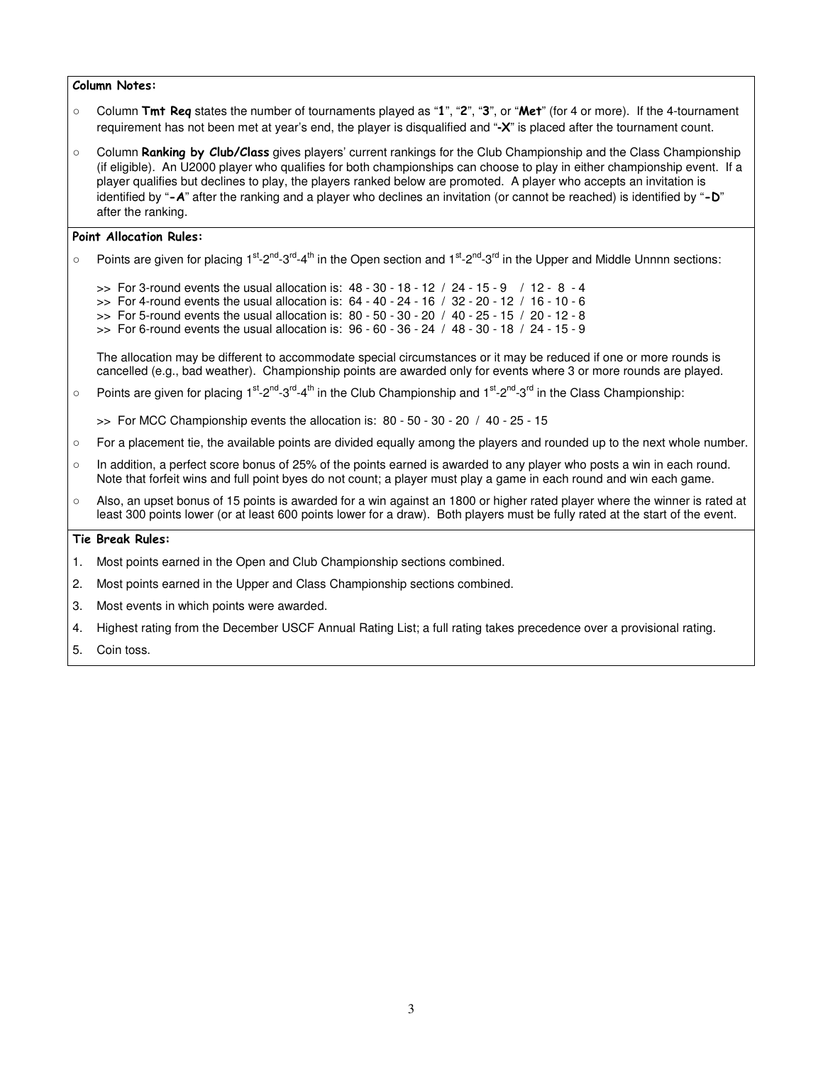#### Column Notes:

- Column Tmt Req states the number of tournaments played as "1", "2", "3", or "Met" (for 4 or more). If the 4-tournament requirement has not been met at year's end, the player is disqualified and "**-**X" is placed after the tournament count.
- Column Ranking by Club/Class gives players' current rankings for the Club Championship and the Class Championship (if eligible). An U2000 player who qualifies for both championships can choose to play in either championship event. If a player qualifies but declines to play, the players ranked below are promoted. A player who accepts an invitation is identified by "-A" after the ranking and a player who declines an invitation (or cannot be reached) is identified by "-D" after the ranking.

#### Point Allocation Rules:

- Points are given for placing 1<sup>st</sup>-2<sup>nd</sup>-3<sup>rd</sup>-4<sup>th</sup> in the Open section and 1<sup>st</sup>-2<sup>nd</sup>-3<sup>rd</sup> in the Upper and Middle Unnnn sections:
	- $\Rightarrow$  For 3-round events the usual allocation is:  $48 30 18 12 / 24 15 9 / 12 8 4$
	- $\gg$  For 4-round events the usual allocation is:  $64 40 24 16$  /  $32 20 12$  /  $16 10 6$
	- >> For 5-round events the usual allocation is: 80 50 30 20 / 40 25 15 / 20 12 8
	- $\gg$  For 6-round events the usual allocation is:  $96 60 36 24 / 48 30 18 / 24 15 9$

The allocation may be different to accommodate special circumstances or it may be reduced if one or more rounds is cancelled (e.g., bad weather). Championship points are awarded only for events where 3 or more rounds are played.

- $\circ$  Points are given for placing 1<sup>st</sup>-2<sup>nd</sup>-3<sup>rd</sup>-4<sup>th</sup> in the Club Championship and 1<sup>st</sup>-2<sup>nd</sup>-3<sup>rd</sup> in the Class Championship:
	- >> For MCC Championship events the allocation is: 80 50 30 20 / 40 25 15
- For a placement tie, the available points are divided equally among the players and rounded up to the next whole number.
- In addition, a perfect score bonus of 25% of the points earned is awarded to any player who posts a win in each round. Note that forfeit wins and full point byes do not count; a player must play a game in each round and win each game.
- $\circ$  Also, an upset bonus of 15 points is awarded for a win against an 1800 or higher rated player where the winner is rated at least 300 points lower (or at least 600 points lower for a draw). Both players must be fully rated at the start of the event.

#### Tie Break Rules:

- 1. Most points earned in the Open and Club Championship sections combined.
- 2. Most points earned in the Upper and Class Championship sections combined.
- 3. Most events in which points were awarded.
- 4. Highest rating from the December USCF Annual Rating List; a full rating takes precedence over a provisional rating.
- 5. Coin toss.